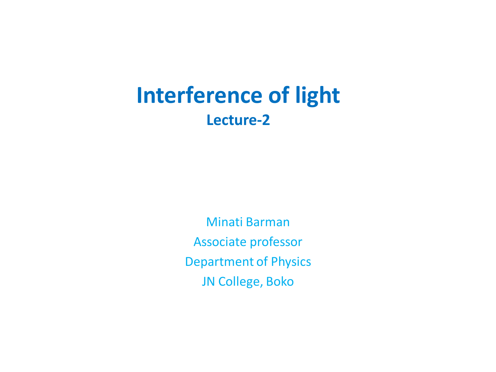# **Interference of light Lecture-2**

Minati Barman Associate professor Department of Physics JN College, Boko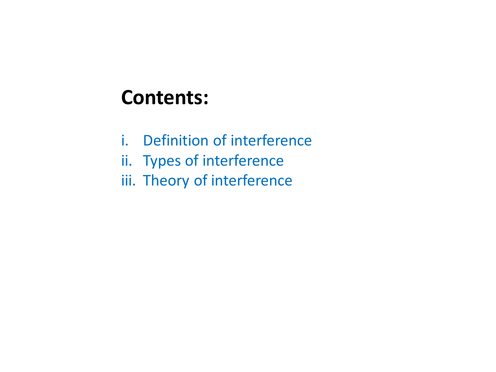# **Contents:**

- i. Definition of interference
- ii. Types of interference
- iii. Theory of interference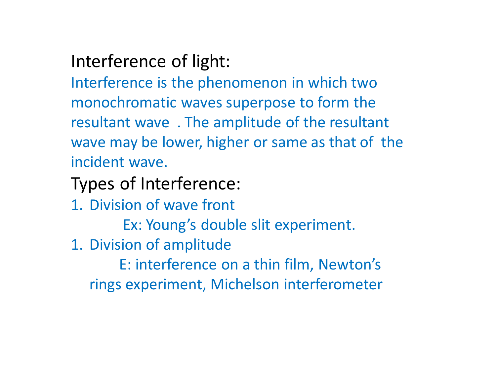## Interference of light:

Interference is the phenomenon in which two monochromatic waves superpose to form the resultant wave . The amplitude of the resultant wave may be lower, higher or same as that of the incident wave.

### Types of Interference:

- 1. Division of wave front
	- Ex: Young's double slit experiment.
- 1. Division of amplitude

 E: interference on a thin film, Newton's rings experiment, Michelson interferometer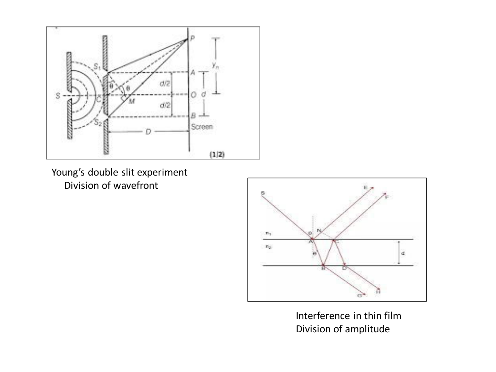

Young's double slit experiment Division of wavefront



Interference in thin film Division of amplitude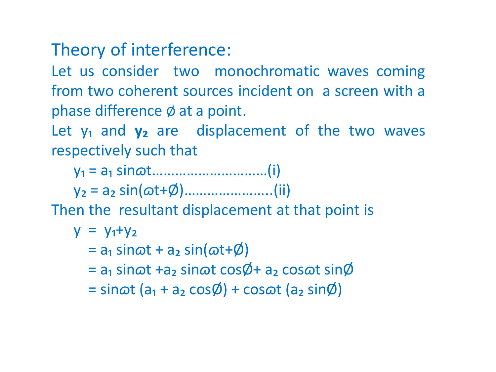#### Theory of interference:

Let us consider two monochromatic waves coming from two coherent sources incident on a screen with a phase difference Ø at a point.

Let y<sub>1</sub> and y<sub>2</sub> are displacement of the two waves respectively such that

y₁ = a₁ sin*ɷ*t…………………………(i)

y₂ = a₂ sin(*ɷ*t+Ø)…………………..(ii)

Then the resultant displacement at that point is

$$
y = y_1 + y_2
$$

 $=$  a<sub>1</sub> sin $\omega$ t + a<sub>2</sub> sin $(\omega$ t+Ø)

- = a₁ sin*ɷ*t +a₂ sin*ɷ*t cosØ+ a₂ cos*ɷ*t sinØ
- $=$  sin $\omega t$  (a<sub>1</sub> + a<sub>2</sub> cos $\emptyset$ ) + cos $\omega t$  (a<sub>2</sub> sin $\emptyset$ )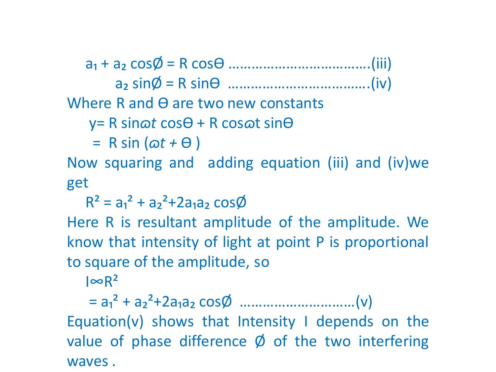a₁ + a₂ cosØ = R cosӨ ……………………………….(iii)

a₂ sinØ = R sinӨ ……………………………….(iv)

Where R and  $\Theta$  are two new constants

y= R sin*ɷt* cosӨ + R cos*ɷ*t sinӨ

= R sin (*ɷt +* Ө )

Now squaring and adding equation (iii) and (iv)we get

 $R^2 = a_1^2 + a_2^2 + 2a_1a_2 \cos\phi$ 

Here R is resultant amplitude of the amplitude. We know that intensity of light at point P is proportional to square of the amplitude, so

 $I \infty$ R<sup>2</sup>

 = a₁² + a₂²+2a₁a₂ cosØ …………………………(v) Equation(v) shows that Intensity I depends on the value of phase difference  $\emptyset$  of the two interfering waves .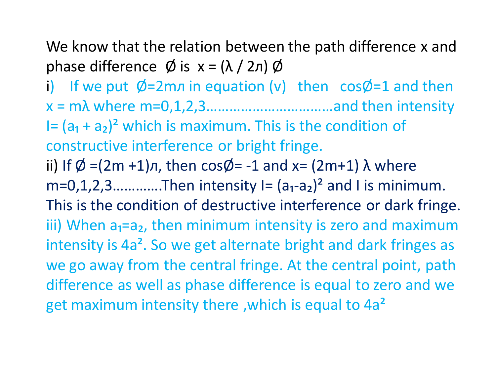We know that the relation between the path difference x and phase difference  $\emptyset$  is  $x = (\lambda / 2\pi) \emptyset$ 

i) If we put  $\emptyset$ =2m $\pi$  in equation (v) then cos $\emptyset$ =1 and then x = mλ where m=0,1,2,3……………………………and then intensity I=  $(a_1 + a_2)^2$  which is maximum. This is the condition of constructive interference or bright fringe. ii) If  $\emptyset$  =(2m +1) $\pi$ , then cos $\emptyset$ = -1 and x= (2m+1)  $\lambda$  where  $m=0,1,2,3...$  Then intensity  $I=(a_1-a_2)^2$  and I is minimum. This is the condition of destructive interference or dark fringe. iii) When  $a_1=a_2$ , then minimum intensity is zero and maximum intensity is 4a<sup>2</sup>. So we get alternate bright and dark fringes as we go away from the central fringe. At the central point, path difference as well as phase difference is equal to zero and we get maximum intensity there ,which is equal to 4a²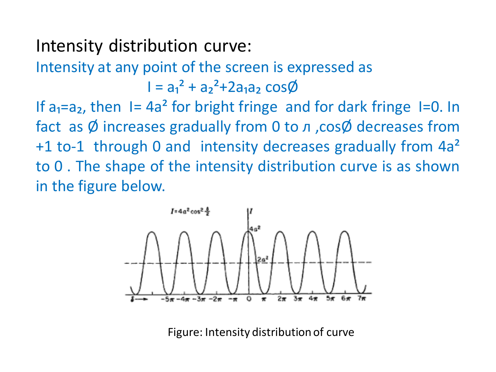#### Intensity distribution curve:

Intensity at any point of the screen is expressed as  $I = a_1^2 + a_2^2 + 2a_1a_2 \cos \phi$ 

If  $a_1=a_2$ , then I= 4a<sup>2</sup> for bright fringe and for dark fringe I=0. In fact as  $\emptyset$  increases gradually from 0 to  $\pi$ , cos $\emptyset$  decreases from +1 to-1 through 0 and intensity decreases gradually from 4a<sup>2</sup> to 0 . The shape of the intensity distribution curve is as shown in the figure below.



Figure: Intensity distribution of curve